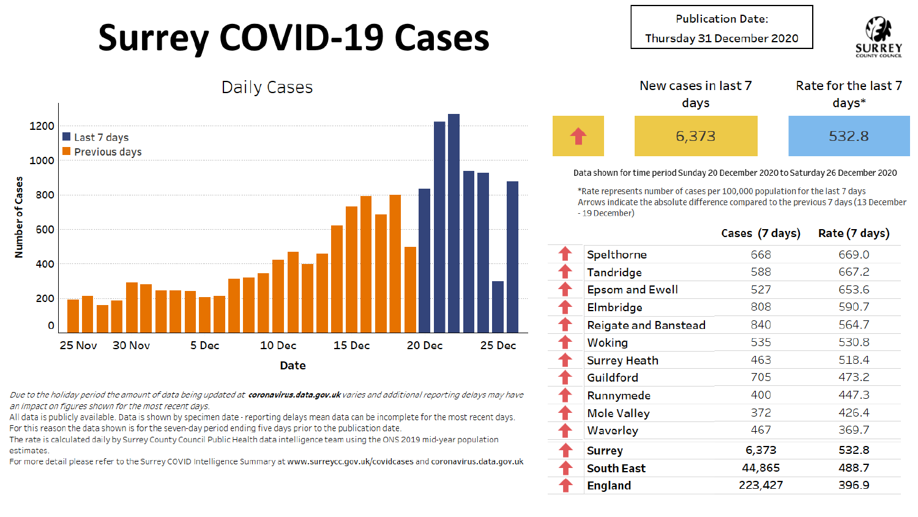## **Surrey COVID-19 Cases**

**Publication Date:** 

Thursday 31 December 2020





Data shown for time period Sunday 20 December 2020 to Saturday 26 December 2020

\*Rate represents number of cases per 100,000 population for the last 7 days Arrows indicate the absolute difference compared to the previous 7 days (13 December - 19 December)

|                             | Cases (7 days) | Rate (7 days) |
|-----------------------------|----------------|---------------|
| Spelthorne                  | 668            | 669.0         |
| Tandridge                   | 588            | 667.2         |
| <b>Epsom and Ewell</b>      | 527            | 653.6         |
| Elmbridge                   | 808            | 590.7         |
| <b>Reigate and Banstead</b> | 840            | 564.7         |
| Woking                      | 535            | 530.8         |
| <b>Surrey Heath</b>         | 463            | 518.4         |
| Guildford                   | 705            | 473.2         |
| Runnymede                   | 400            | 447.3         |
| <b>Mole Valley</b>          | 372            | 426.4         |
| Waverley                    | 467            | 369.7         |
| <b>Surrey</b>               | 6,373          | 532.8         |
| <b>South East</b>           | 44,865         | 488.7         |
| <b>England</b>              | 223,427        | 396.9         |
|                             |                |               |

Daily Cases



Due to the holiday period the amount of data being updated at coronavirus.data.gov.uk varies and additional reporting delays may have an impact on figures shown for the most recent days.

All data is publicly available. Data is shown by specimen date - reporting delays mean data can be incomplete for the most recent days. For this reason the data shown is for the seven-day period ending five days prior to the publication date.

The rate is calculated daily by Surrey County Council Public Health data intelligence team using the ONS 2019 mid-year population estimates.

For more detail please refer to the Surrey COVID Intelligence Summary at www.surreycc.gov.uk/covidcases and coronavirus.data.gov.uk